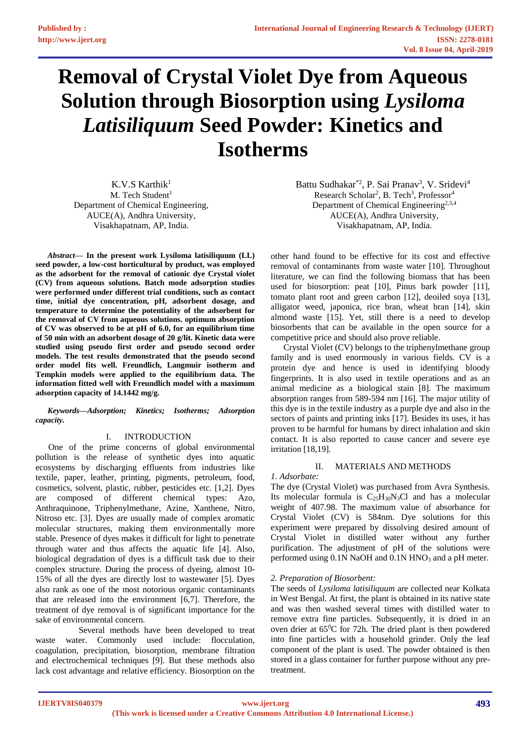# **Removal of Crystal Violet Dye from Aqueous Solution through Biosorption using** *Lysiloma Latisiliquum* **Seed Powder: Kinetics and Isotherms**

K.V.S Karthik $1$ M. Tech Student<sup>1</sup> Department of Chemical Engineering, AUCE(A), Andhra University, Visakhapatnam, AP, India.

*Abstract***— In the present work Lysiloma latisiliquum (LL) seed powder, a low-cost horticultural by product, was employed as the adsorbent for the removal of cationic dye Crystal violet (CV) from aqueous solutions. Batch mode adsorption studies were performed under different trial conditions, such as contact time, initial dye concentration, pH, adsorbent dosage, and temperature to determine the potentiality of the adsorbent for the removal of CV from aqueous solutions. optimum absorption of CV was observed to be at pH of 6.0, for an equilibrium time of 50 min with an adsorbent dosage of 20 g/lit. Kinetic data were studied using pseudo first order and pseudo second order models. The test results demonstrated that the pseudo second order model fits well. Freundlich, Langmuir isotherm and Tempkin models were applied to the equilibrium data. The information fitted well with Freundlich model with a maximum adsorption capacity of 14.1442 mg/g.**

#### *Keywords—Adsorption; Kinetics; Isotherms; Adsorption capacity.*

# I. INTRODUCTION

One of the prime concerns of global environmental pollution is the release of synthetic dyes into aquatic ecosystems by discharging effluents from industries like textile, paper, leather, printing, pigments, petroleum, food, cosmetics, solvent, plastic, rubber, pesticides etc. [1,2]. Dyes are composed of different chemical types: Azo, Anthraquinone, Triphenylmethane, Azine, Xanthene, Nitro, Nitroso etc. [3]. Dyes are usually made of complex aromatic molecular structures, making them environmentally more stable. Presence of dyes makes it difficult for light to penetrate through water and thus affects the aquatic life [4]. Also, biological degradation of dyes is a difficult task due to their complex structure. During the process of dyeing, almost 10- 15% of all the dyes are directly lost to wastewater [5]. Dyes also rank as one of the most notorious organic contaminants that are released into the environment [6,7]. Therefore, the treatment of dye removal is of significant importance for the sake of environmental concern.

 Several methods have been developed to treat waste water. Commonly used include: flocculation, coagulation, precipitation, biosorption, membrane filtration and electrochemical techniques [9]. But these methods also lack cost advantage and relative efficiency. Biosorption on the

Battu Sudhakar<sup>\*2</sup>, P. Sai Pranav<sup>3</sup>, V. Sridevi<sup>4</sup> Research Scholar<sup>2</sup>, B. Tech<sup>3</sup>, Professor<sup>4</sup> Department of Chemical Engineering<sup>2,3,4</sup> AUCE(A), Andhra University, Visakhapatnam, AP, India.

other hand found to be effective for its cost and effective removal of contaminants from waste water [10]. Throughout literature, we can find the following biomass that has been used for biosorption: peat [10], Pinus bark powder [11], tomato plant root and green carbon [12], deoiled soya [13], alligator weed, japonica, rice bran, wheat bran [14], skin almond waste [15]. Yet, still there is a need to develop biosorbents that can be available in the open source for a competitive price and should also prove reliable.

Crystal Violet (CV) belongs to the triphenylmethane group family and is used enormously in various fields. CV is a protein dye and hence is used in identifying bloody fingerprints. It is also used in textile operations and as an animal medicine as a biological stain [8]. The maximum absorption ranges from 589-594 nm [16]. The major utility of this dye is in the textile industry as a purple dye and also in the sectors of paints and printing inks [17]. Besides its uses, it has proven to be harmful for humans by direct inhalation and skin contact. It is also reported to cause cancer and severe eye irritation [18,19].

# II. MATERIALS AND METHODS

*1. Adsorbate:* The dye (Crystal Violet) was purchased from Avra Synthesis. Its molecular formula is  $C_{25}H_{30}N_3Cl$  and has a molecular weight of 407.98. The maximum value of absorbance for Crystal Violet (CV) is 584nm. Dye solutions for this experiment were prepared by dissolving desired amount of Crystal Violet in distilled water without any further purification. The adjustment of pH of the solutions were performed using  $0.1N$  NaOH and  $0.1N$  HNO<sub>3</sub> and a pH meter.

# *2. Preparation of Biosorbent:*

The seeds of *Lysiloma latisiliquum* are collected near Kolkata in West Bengal. At first, the plant is obtained in its native state and was then washed several times with distilled water to remove extra fine particles. Subsequently, it is dried in an oven drier at  $65^{\circ}$ C for 72h. The dried plant is then powdered into fine particles with a household grinder. Only the leaf component of the plant is used. The powder obtained is then stored in a glass container for further purpose without any pretreatment.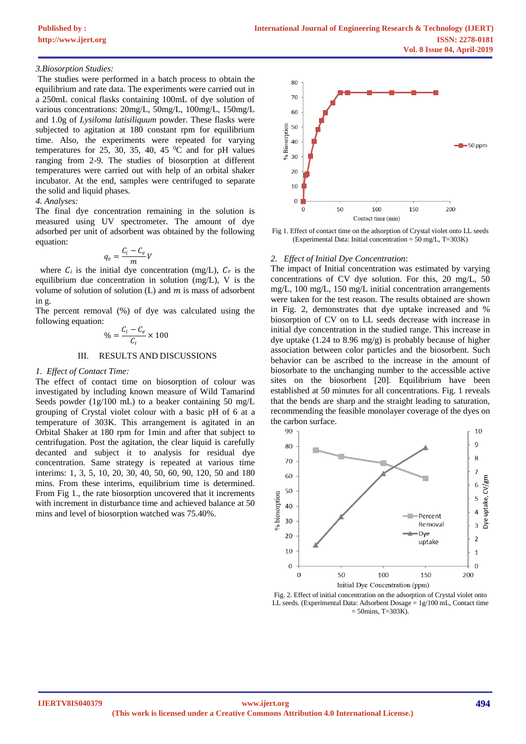## *3.Biosorption Studies:*

The studies were performed in a batch process to obtain the equilibrium and rate data. The experiments were carried out in a 250mL conical flasks containing 100mL of dye solution of various concentrations: 20mg/L, 50mg/L, 100mg/L, 150mg/L and 1.0g of *Lysiloma latisiliquum* powder. These flasks were subjected to agitation at 180 constant rpm for equilibrium time. Also, the experiments were repeated for varying temperatures for 25, 30, 35, 40, 45 $\mathrm{^0C}$  and for pH values ranging from 2-9. The studies of biosorption at different temperatures were carried out with help of an orbital shaker incubator. At the end, samples were centrifuged to separate the solid and liquid phases.

# *4. Analyses:*

The final dye concentration remaining in the solution is measured using UV spectrometer. The amount of dye adsorbed per unit of adsorbent was obtained by the following equation:

$$
q_e = \frac{C_i - C_e}{m}V
$$

where  $C_i$  is the initial dye concentration (mg/L),  $C_e$  is the equilibrium due concentration in solution (mg/L), V is the volume of solution of solution  $(L)$  and  $m$  is mass of adsorbent in g.

The percent removal (%) of dye was calculated using the following equation:

$$
\% = \frac{C_i - C_e}{C_i} \times 100
$$

## III. RESULTS AND DISCUSSIONS

#### *1. Effect of Contact Time:*

The effect of contact time on biosorption of colour was investigated by including known measure of Wild Tamarind Seeds powder (1g/100 mL) to a beaker containing 50 mg/L grouping of Crystal violet colour with a basic pH of 6 at a temperature of 303K. This arrangement is agitated in an Orbital Shaker at 180 rpm for 1min and after that subject to centrifugation. Post the agitation, the clear liquid is carefully decanted and subject it to analysis for residual dye concentration. Same strategy is repeated at various time interims: 1, 3, 5, 10, 20, 30, 40, 50, 60, 90, 120, 50 and 180 mins. From these interims, equilibrium time is determined. From Fig 1., the rate biosorption uncovered that it increments with increment in disturbance time and achieved balance at 50 mins and level of biosorption watched was 75.40%.



Fig 1. Effect of contact time on the adsorption of Crystal violet onto LL seeds (Experimental Data: Initial concentration = 50 mg/L, T=303K)

#### *2. Effect of Initial Dye Concentration*:

The impact of Initial concentration was estimated by varying concentrations of CV dye solution. For this, 20 mg/L, 50 mg/L, 100 mg/L, 150 mg/L initial concentration arrangements were taken for the test reason. The results obtained are shown in Fig. 2, demonstrates that dye uptake increased and % biosorption of CV on to LL seeds decrease with increase in initial dye concentration in the studied range. This increase in dye uptake (1.24 to 8.96 mg/g) is probably because of higher association between color particles and the biosorbent. Such behavior can be ascribed to the increase in the amount of biosorbate to the unchanging number to the accessible active sites on the biosorbent [20]. Equilibrium have been established at 50 minutes for all concentrations. Fig. 1 reveals that the bends are sharp and the straight leading to saturation, recommending the feasible monolayer coverage of the dyes on the carbon surface.



Fig. 2. Effect of initial concentration on the adsorption of Crystal violet onto LL seeds. (Experimental Data: Adsorbent Dosage = 1g/100 mL, Contact time  $= 50$ mins, T $= 303K$ ).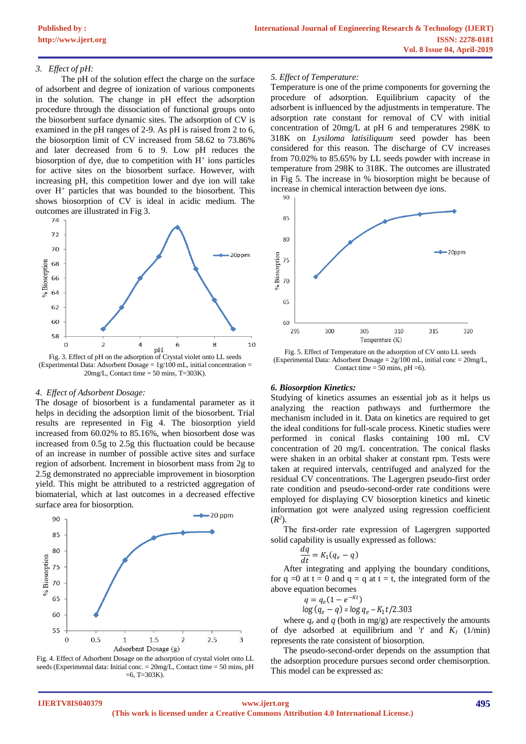## *3. Effect of pH:*

The pH of the solution effect the charge on the surface of adsorbent and degree of ionization of various components in the solution. The change in pH effect the adsorption procedure through the dissociation of functional groups onto the biosorbent surface dynamic sites. The adsorption of CV is examined in the pH ranges of 2-9. As pH is raised from 2 to 6, the biosorption limit of CV increased from 58.62 to 73.86% and later decreased from 6 to 9. Low pH reduces the biosorption of dye, due to competition with  $H^+$  ions particles for active sites on the biosorbent surface. However, with increasing pH, this competition lower and dye ion will take over  $H^+$  particles that was bounded to the biosorbent. This shows biosorption of CV is ideal in acidic medium. The outcomes are illustrated in Fig 3.



Fig. 3. Effect of pH on the adsorption of Crystal violet onto LL seeds (Experimental Data: Adsorbent Dosage = 1g/100 mL, initial concentration =  $20$ mg/L, Contact time = 50 mins, T=303K).

#### *4. Effect of Adsorbent Dosage:*

The dosage of biosorbent is a fundamental parameter as it helps in deciding the adsorption limit of the biosorbent. Trial results are represented in Fig 4. The biosorption yield increased from 60.02% to 85.16%, when biosorbent dose was increased from 0.5g to 2.5g this fluctuation could be because of an increase in number of possible active sites and surface region of adsorbent. Increment in biosorbent mass from 2g to 2.5g demonstrated no appreciable improvement in biosorption yield. This might be attributed to a restricted aggregation of biomaterial, which at last outcomes in a decreased effective surface area for biosorption.





#### *5. Effect of Temperature:*

Temperature is one of the prime components for governing the procedure of adsorption. Equilibrium capacity of the adsorbent is influenced by the adjustments in temperature. The adsorption rate constant for removal of CV with initial concentration of 20mg/L at pH 6 and temperatures 298K to 318K on *Lysiloma latisiliquum* seed powder has been considered for this reason. The discharge of CV increases from 70.02% to 85.65% by LL seeds powder with increase in temperature from 298K to 318K. The outcomes are illustrated in Fig 5. The increase in % biosorption might be because of increase in chemical interaction between dye ions.



Fig. 5. Effect of Temperature on the adsorption of CV onto LL seeds (Experimental Data: Adsorbent Dosage =  $2g/100$  mL, initial conc =  $20$ mg/L, Contact time  $= 50$  mins, pH  $= 6$ ).

## *6. Biosorption Kinetics:*

Studying of kinetics assumes an essential job as it helps us analyzing the reaction pathways and furthermore the mechanism included in it. Data on kinetics are required to get the ideal conditions for full-scale process. Kinetic studies were performed in conical flasks containing 100 mL CV concentration of 20 mg/L concentration. The conical flasks were shaken in an orbital shaker at constant rpm. Tests were taken at required intervals, centrifuged and analyzed for the residual CV concentrations. The Lagergren pseudo-first order rate condition and pseudo-second-order rate conditions were employed for displaying CV biosorption kinetics and kinetic information got were analyzed using regression coefficient  $(R^2)$ .

The first-order rate expression of Lagergren supported solid capability is usually expressed as follows:

$$
\frac{dq}{dt} = K_1(q_e - q)
$$

After integrating and applying the boundary conditions, for  $q = 0$  at  $t = 0$  and  $q = q$  at  $t = t$ , the integrated form of the above equation becomes

$$
q = q_e(1 - e^{-Kt})
$$

$$
\log (q_e - q) = \log q_e - K_1 t / 2.303
$$

where  $q_e$  and  $q$  (both in mg/g) are respectively the amounts of dye adsorbed at equilibrium and '*t*' and *K<sup>1</sup>* (1/min) represents the rate consistent of biosorption.

The pseudo-second-order depends on the assumption that the adsorption procedure pursues second order chemisorption. This model can be expressed as: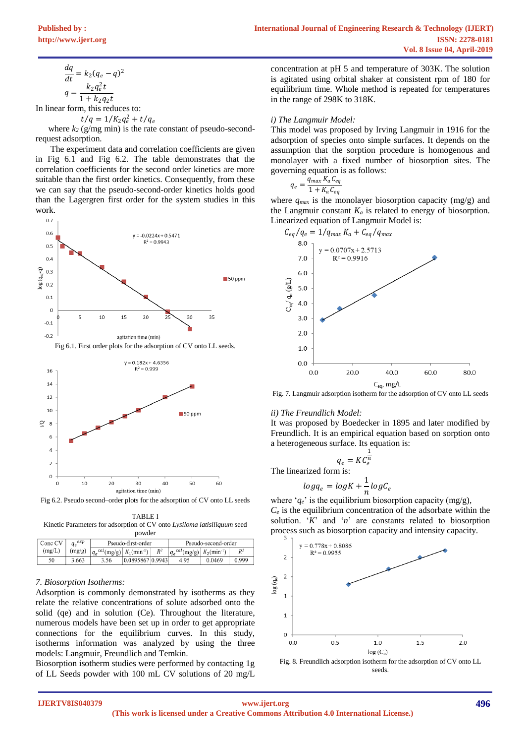$$
\frac{dq}{dt} = k_2 (q_e - q)^2
$$

$$
q = \frac{k_2 q_e^2 t}{1 + k_2 q_2 t}
$$

In linear form, this reduces to:

$$
t/q = 1/K_2q_e^2 + t
$$

 $q_e$ where  $k_2$  (g/mg min) is the rate constant of pseudo-secondrequest adsorption.

The experiment data and correlation coefficients are given in Fig 6.1 and Fig 6.2. The table demonstrates that the correlation coefficients for the second order kinetics are more suitable than the first order kinetics. Consequently, from these we can say that the pseudo-second-order kinetics holds good than the Lagergren first order for the system studies in this work.





Fig 6.2. Pseudo second–order plots for the adsorption of CV onto LL seeds

TABLE I Kinetic Parameters for adsorption of CV onto *Lysiloma latisiliquum* seed powder

| powaci                 |        |                                                 |                        |       |                                                 |        |       |  |  |
|------------------------|--------|-------------------------------------------------|------------------------|-------|-------------------------------------------------|--------|-------|--|--|
| $q_e^{exp}$<br>Conc CV |        | Pseudo-first-order                              |                        |       | Pseudo-second-order                             |        |       |  |  |
| (mg/L)                 | (mg/g) | $ q_e^{cal}$ (mg/g) $ K_1$ (min <sup>-1</sup> ) |                        | $R^2$ | $ q_e^{cal}$ (mg/g) $ K_2$ (min <sup>-1</sup> ) |        | $R^2$ |  |  |
| 50                     | 3.663  | 3.56                                            | $0.0895867$ $ 0.9943 $ |       | 4.95                                            | 0.0469 | 0.999 |  |  |

# *7. Biosorption Isotherms:*

Adsorption is commonly demonstrated by isotherms as they relate the relative concentrations of solute adsorbed onto the solid (qe) and in solution (Ce). Throughout the literature, numerous models have been set up in order to get appropriate connections for the equilibrium curves. In this study, isotherms information was analyzed by using the three models: Langmuir, Freundlich and Temkin.

Biosorption isotherm studies were performed by contacting 1g of LL Seeds powder with 100 mL CV solutions of 20 mg/L concentration at pH 5 and temperature of 303K. The solution is agitated using orbital shaker at consistent rpm of 180 for equilibrium time. Whole method is repeated for temperatures in the range of 298K to 318K.

## *i) The Langmuir Model:*

This model was proposed by Irving Langmuir in 1916 for the adsorption of species onto simple surfaces. It depends on the assumption that the sorption procedure is homogenous and monolayer with a fixed number of biosorption sites. The governing equation is as follows:

$$
q_e = \frac{q_{max} K_a C_{eq}}{1 + K_a C_{eq}}
$$

where  $q_{max}$  is the monolayer biosorption capacity (mg/g) and the Langmuir constant  $K_a$  is related to energy of biosorption. Linearized equation of Langmuir Model is:



Fig. 7. Langmuir adsorption isotherm for the adsorption of CV onto LL seeds

# *ii) The Freundlich Model:*

It was proposed by Boedecker in 1895 and later modified by Freundlich. It is an empirical equation based on sorption onto a heterogeneous surface. Its equation is:

$$
q_e = K C_e^{\frac{1}{n}}
$$

The linearized form is:  $log q_e = log K + \frac{1}{n}$  $\frac{-}{n}$ log $\mathcal{C}_e$ 

where ' $q_e$ ' is the equilibrium biosorption capacity (mg/g),  $C_e$  is the equilibrium concentration of the adsorbate within the solution. '*K*' and '*n*' are constants related to biosorption process such as biosorption capacity and intensity capacity.



Fig. 8. Freundlich adsorption isotherm for the adsorption of CV onto LL seeds.